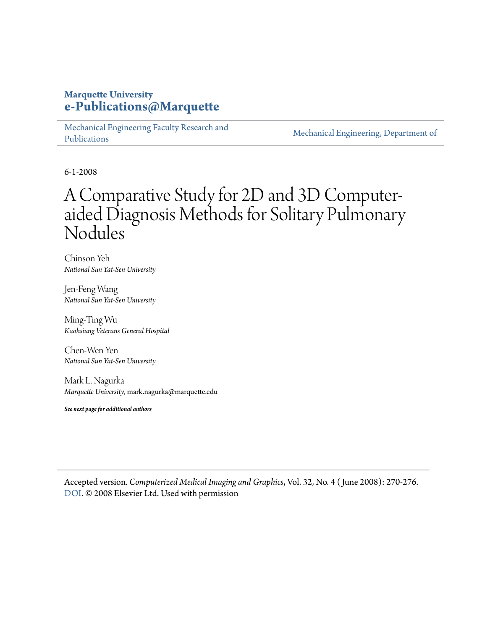## **Marquette University [e-Publications@Marquette](https://epublications.marquette.edu)**

[Mechanical Engineering Faculty Research and](https://epublications.marquette.edu/mechengin_fac) [Publications](https://epublications.marquette.edu/mechengin_fac)

[Mechanical Engineering, Department of](https://epublications.marquette.edu/mechengin)

6-1-2008

## A Comparative Study for 2D and 3D Computeraided Diagnosis Methods for Solitary Pulmonary Nodules

Chinson Yeh *National Sun Yat-Sen University*

Jen-Feng Wang *National Sun Yat-Sen University*

Ming-Ting Wu *Kaohsiung Veterans General Hospital*

Chen-Wen Yen *National Sun Yat-Sen University*

Mark L. Nagurka *Marquette University*, mark.nagurka@marquette.edu

*See next page for additional authors*

Accepted version*. Computerized Medical Imaging and Graphics*, Vol. 32, No. 4 ( June 2008): 270-276. [DOI](https://doi.org/10.1016/j.compmedimag.2008.01.003). © 2008 Elsevier Ltd. Used with permission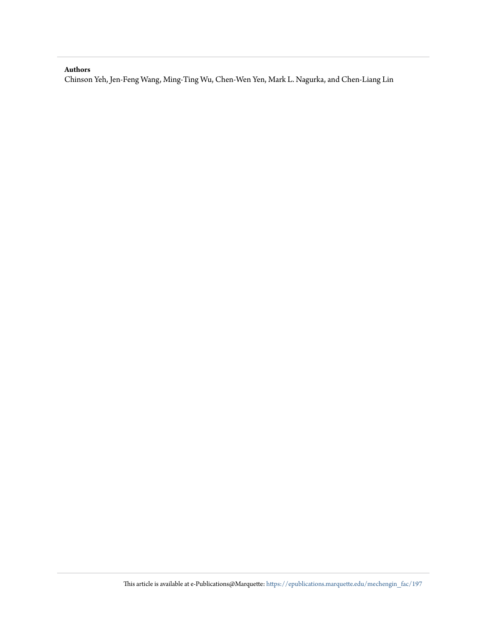#### **Authors**

Chinson Yeh, Jen-Feng Wang, Ming-Ting Wu, Chen-Wen Yen, Mark L. Nagurka, and Chen-Liang Lin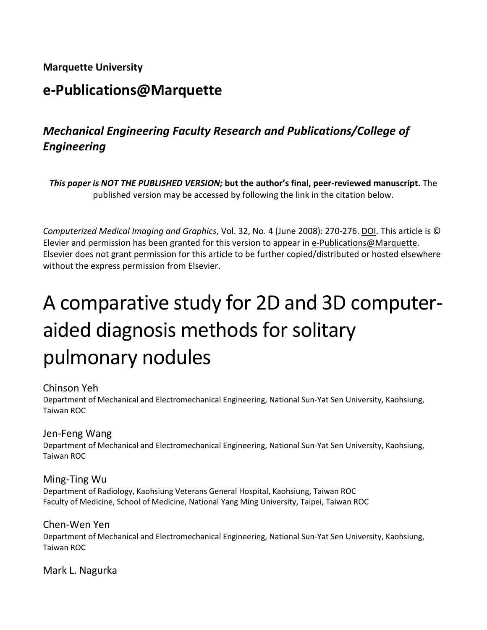## **Marquette University**

## **e-Publications@Marquette**

## *Mechanical Engineering Faculty Research and Publications/College of Engineering*

*This paper is NOT THE PUBLISHED VERSION;* **but the author's final, peer-reviewed manuscript.** The published version may be accessed by following the link in the citation below.

*Computerized Medical Imaging and Graphics*, Vol. 32, No. 4 (June 2008): 270-276. DOI. This article is © Elevier and permission has been granted for this version to appear in [e-Publications@Marquette.](http://epublications.marquette.edu/) Elsevier does not grant permission for this article to be further copied/distributed or hosted elsewhere without the express permission from Elsevier.

# A comparative study for 2D and 3D computeraided diagnosis methods for solitary pulmonary nodules

#### Chinson Yeh

Department of Mechanical and Electromechanical Engineering, National Sun-Yat Sen University, Kaohsiung, Taiwan ROC

#### Jen-Feng Wang

Department of Mechanical and Electromechanical Engineering, National Sun-Yat Sen University, Kaohsiung, Taiwan ROC

Ming-Ting Wu Department of Radiology, Kaohsiung Veterans General Hospital, Kaohsiung, Taiwan ROC Faculty of Medicine, School of Medicine, National Yang Ming University, Taipei, Taiwan ROC

Chen-Wen Yen Department of Mechanical and Electromechanical Engineering, National Sun-Yat Sen University, Kaohsiung, Taiwan ROC

Mark L. Nagurka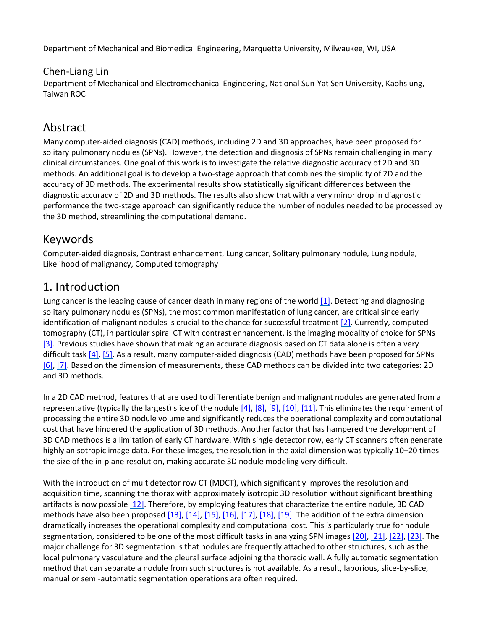Department of Mechanical and Biomedical Engineering, Marquette University, Milwaukee, WI, USA

#### Chen-Liang Lin

Department of Mechanical and Electromechanical Engineering, National Sun-Yat Sen University, Kaohsiung, Taiwan ROC

## Abstract

Many computer-aided diagnosis (CAD) methods, including 2D and 3D approaches, have been proposed for solitary pulmonary nodules (SPNs). However, the detection and diagnosis of SPNs remain challenging in many clinical circumstances. One goal of this work is to investigate the relative diagnostic accuracy of 2D and 3D methods. An additional goal is to develop a two-stage approach that combines the simplicity of 2D and the accuracy of 3D methods. The experimental results show statistically significant differences between the diagnostic accuracy of 2D and 3D methods. The results also show that with a very minor drop in diagnostic performance the two-stage approach can significantly reduce the number of nodules needed to be processed by the 3D method, streamlining the computational demand.

## Keywords

Computer-aided diagnosis, Contrast enhancement, Lung cancer, Solitary pulmonary nodule, Lung nodule, Likelihood of malignancy, Computed tomography

## 1. Introduction

Lung cancer is the leading cause of cancer death in many regions of the world [\[1\].](https://www.sciencedirect.com/science/article/pii/S0895611108000049?via%3Dihub#bib1) Detecting and diagnosing solitary pulmonary nodules (SPNs), the most common manifestation of lung cancer, are critical since early identification of malignant nodules is crucial to the chance for successful treatment [\[2\].](https://www.sciencedirect.com/science/article/pii/S0895611108000049?via%3Dihub#bib2) Currently, computed tomography (CT), in particular spiral CT with contrast enhancement, is the imaging modality of choice for SPNs [\[3\].](https://www.sciencedirect.com/science/article/pii/S0895611108000049?via%3Dihub#bib3) Previous studies have shown that making an accurate diagnosis based on CT data alone is often a very difficult tas[k \[4\],](https://www.sciencedirect.com/science/article/pii/S0895611108000049?via%3Dihub#bib4) [\[5\].](https://www.sciencedirect.com/science/article/pii/S0895611108000049?via%3Dihub#bib5) As a result, many computer-aided diagnosis (CAD) methods have been proposed for SPNs [\[6\],](https://www.sciencedirect.com/science/article/pii/S0895611108000049?via%3Dihub#bib6) [\[7\].](https://www.sciencedirect.com/science/article/pii/S0895611108000049?via%3Dihub#bib7) Based on the dimension of measurements, these CAD methods can be divided into two categories: 2D and 3D methods.

In a 2D CAD method, features that are used to differentiate benign and malignant nodules are generated from a representative (typically the largest) slice of the nodule  $[4]$ ,  $[8]$ ,  $[9]$ ,  $[10]$ ,  $[11]$ . This eliminates the requirement of processing the entire 3D nodule volume and significantly reduces the operational complexity and computational cost that have hindered the application of 3D methods. Another factor that has hampered the development of 3D CAD methods is a limitation of early CT hardware. With single detector row, early CT scanners often generate highly anisotropic image data. For these images, the resolution in the axial dimension was typically 10–20 times the size of the in-plane resolution, making accurate 3D nodule modeling very difficult.

With the introduction of multidetector row CT (MDCT), which significantly improves the resolution and acquisition time, scanning the thorax with approximately isotropic 3D resolution without significant breathing artifacts is now possible [\[12\].](https://www.sciencedirect.com/science/article/pii/S0895611108000049?via%3Dihub#bib12) Therefore, by employing features that characterize the entire nodule, 3D CAD methods have also been propose[d \[13\],](https://www.sciencedirect.com/science/article/pii/S0895611108000049?via%3Dihub#bib13) [\[14\],](https://www.sciencedirect.com/science/article/pii/S0895611108000049?via%3Dihub#bib14) [\[15\],](https://www.sciencedirect.com/science/article/pii/S0895611108000049?via%3Dihub#bib15) [\[16\],](https://www.sciencedirect.com/science/article/pii/S0895611108000049?via%3Dihub#bib16) [\[17\],](https://www.sciencedirect.com/science/article/pii/S0895611108000049?via%3Dihub#bib17) [\[18\],](https://www.sciencedirect.com/science/article/pii/S0895611108000049?via%3Dihub#bib18) [\[19\].](https://www.sciencedirect.com/science/article/pii/S0895611108000049?via%3Dihub#bib19) The addition of the extra dimension dramatically increases the operational complexity and computational cost. This is particularly true for nodule segmentation, considered to be one of the most difficult tasks in analyzing SPN images [\[20\],](https://www.sciencedirect.com/science/article/pii/S0895611108000049?via%3Dihub#bib20) [\[21\],](https://www.sciencedirect.com/science/article/pii/S0895611108000049?via%3Dihub#bib21) [\[22\],](https://www.sciencedirect.com/science/article/pii/S0895611108000049?via%3Dihub#bib22) [\[23\].](https://www.sciencedirect.com/science/article/pii/S0895611108000049?via%3Dihub#bib23) The major challenge for 3D segmentation is that nodules are frequently attached to other structures, such as the local pulmonary vasculature and the pleural surface adjoining the thoracic wall. A fully automatic segmentation method that can separate a nodule from such structures is not available. As a result, laborious, slice-by-slice, manual or semi-automatic segmentation operations are often required.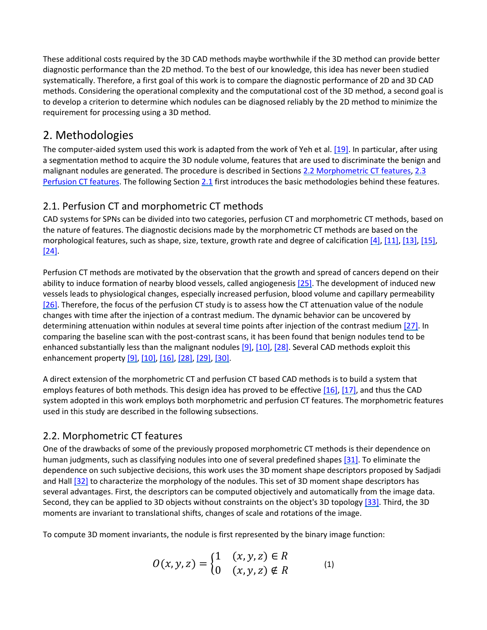These additional costs required by the 3D CAD methods maybe worthwhile if the 3D method can provide better diagnostic performance than the 2D method. To the best of our knowledge, this idea has never been studied systematically. Therefore, a first goal of this work is to compare the diagnostic performance of 2D and 3D CAD methods. Considering the operational complexity and the computational cost of the 3D method, a second goal is to develop a criterion to determine which nodules can be diagnosed reliably by the 2D method to minimize the requirement for processing using a 3D method.

## 2. Methodologies

The computer-aided system used this work is adapted from the work of Yeh et al. [\[19\].](https://www.sciencedirect.com/science/article/pii/S0895611108000049?via%3Dihub#bib19) In particular, after using a segmentation method to acquire the 3D nodule volume, features that are used to discriminate the benign and malignant nodules are generated. The procedure is described in Sections [2.2 Morphometric CT features,](https://www.sciencedirect.com/science/article/pii/S0895611108000049?via%3Dihub#sec2) [2.3](https://www.sciencedirect.com/science/article/pii/S0895611108000049?via%3Dihub#sec3)  [Perfusion CT features.](https://www.sciencedirect.com/science/article/pii/S0895611108000049?via%3Dihub#sec3) The following Sectio[n 2.1](https://www.sciencedirect.com/science/article/pii/S0895611108000049?via%3Dihub#sec1) first introduces the basic methodologies behind these features.

## 2.1. Perfusion CT and morphometric CT methods

CAD systems for SPNs can be divided into two categories, perfusion CT and morphometric CT methods, based on the nature of features. The diagnostic decisions made by the morphometric CT methods are based on the morphological features, such as shape, size, texture, growth rate and degree of calcificatio[n \[4\],](https://www.sciencedirect.com/science/article/pii/S0895611108000049?via%3Dihub#bib4) [\[11\],](https://www.sciencedirect.com/science/article/pii/S0895611108000049?via%3Dihub#bib11) [\[13\],](https://www.sciencedirect.com/science/article/pii/S0895611108000049?via%3Dihub#bib13) [\[15\],](https://www.sciencedirect.com/science/article/pii/S0895611108000049?via%3Dihub#bib15) [\[24\].](https://www.sciencedirect.com/science/article/pii/S0895611108000049?via%3Dihub#bib24)

Perfusion CT methods are motivated by the observation that the growth and spread of cancers depend on their ability to induce formation of nearby blood vessels, called angiogenesis [\[25\].](https://www.sciencedirect.com/science/article/pii/S0895611108000049?via%3Dihub#bib25) The development of induced new vessels leads to physiological changes, especially increased perfusion, blood volume and capillary permeability [\[26\].](https://www.sciencedirect.com/science/article/pii/S0895611108000049?via%3Dihub#bib26) Therefore, the focus of the perfusion CT study is to assess how the CT attenuation value of the nodule changes with time after the injection of a contrast medium. The dynamic behavior can be uncovered by determining attenuation within nodules at several time points after injection of the contrast medium [\[27\].](https://www.sciencedirect.com/science/article/pii/S0895611108000049?via%3Dihub#bib27) In comparing the baseline scan with the post-contrast scans, it has been found that benign nodules tend to be enhanced substantially less than the malignant nodules [\[9\],](https://www.sciencedirect.com/science/article/pii/S0895611108000049?via%3Dihub#bib9) [\[10\],](https://www.sciencedirect.com/science/article/pii/S0895611108000049?via%3Dihub#bib10) [\[28\].](https://www.sciencedirect.com/science/article/pii/S0895611108000049?via%3Dihub#bib28) Several CAD methods exploit this enhancement property [\[9\],](https://www.sciencedirect.com/science/article/pii/S0895611108000049?via%3Dihub#bib9) [\[10\],](https://www.sciencedirect.com/science/article/pii/S0895611108000049?via%3Dihub#bib10) [\[16\],](https://www.sciencedirect.com/science/article/pii/S0895611108000049?via%3Dihub#bib16) [\[28\],](https://www.sciencedirect.com/science/article/pii/S0895611108000049?via%3Dihub#bib28) [\[29\],](https://www.sciencedirect.com/science/article/pii/S0895611108000049?via%3Dihub#bib29) [\[30\].](https://www.sciencedirect.com/science/article/pii/S0895611108000049?via%3Dihub#bib30)

A direct extension of the morphometric CT and perfusion CT based CAD methods is to build a system that employs features of both methods. This design idea has proved to be effectiv[e \[16\],](https://www.sciencedirect.com/science/article/pii/S0895611108000049?via%3Dihub#bib16) [\[17\],](https://www.sciencedirect.com/science/article/pii/S0895611108000049?via%3Dihub#bib17) and thus the CAD system adopted in this work employs both morphometric and perfusion CT features. The morphometric features used in this study are described in the following subsections.

### 2.2. Morphometric CT features

One of the drawbacks of some of the previously proposed morphometric CT methods is their dependence on human judgments, such as classifying nodules into one of several predefined shapes [\[31\].](https://www.sciencedirect.com/science/article/pii/S0895611108000049?via%3Dihub#bib31) To eliminate the dependence on such subjective decisions, this work uses the 3D moment shape descriptors proposed by Sadjadi and Hall [\[32\]](https://www.sciencedirect.com/science/article/pii/S0895611108000049?via%3Dihub#bib32) to characterize the morphology of the nodules. This set of 3D moment shape descriptors has several advantages. First, the descriptors can be computed objectively and automatically from the image data. Second, they can be applied to 3D objects without constraints on the object's 3D topolog[y \[33\].](https://www.sciencedirect.com/science/article/pii/S0895611108000049?via%3Dihub#bib33) Third, the 3D moments are invariant to translational shifts, changes of scale and rotations of the image.

To compute 3D moment invariants, the nodule is first represented by the binary image function:

$$
O(x, y, z) = \begin{cases} 1 & (x, y, z) \in R \\ 0 & (x, y, z) \notin R \end{cases}
$$
 (1)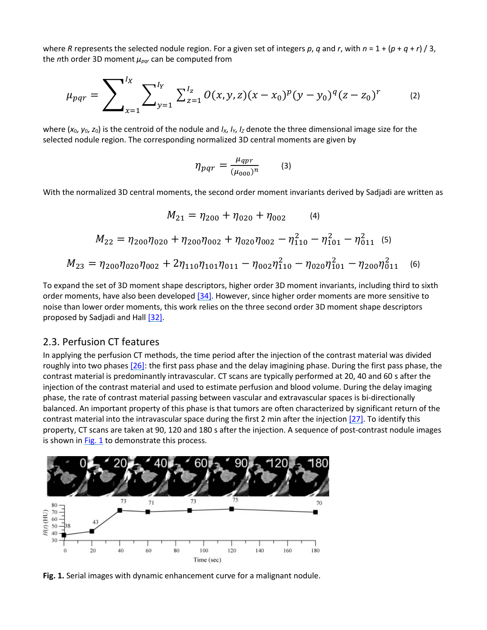where *R* represents the selected nodule region. For a given set of integers  $p$ ,  $q$  and  $r$ , with  $n = 1 + (p + q + r) / 3$ , the *n*th order 3D moment *μpqr* can be computed from

$$
\mu_{pqr} = \sum_{x=1}^{l_X} \sum_{y=1}^{l_Y} \sum_{z=1}^{l_Z} O(x, y, z)(x - x_0)^p (y - y_0)^q (z - z_0)^r \tag{2}
$$

where  $(x_0, y_0, z_0)$  is the centroid of the nodule and  $I_x$ ,  $I_y$ ,  $I_z$  denote the three dimensional image size for the selected nodule region. The corresponding normalized 3D central moments are given by

$$
\eta_{pqr} = \frac{\mu_{qpr}}{(\mu_{000})^n} \qquad (3)
$$

With the normalized 3D central moments, the second order moment invariants derived by Sadjadi are written as

$$
M_{21} = \eta_{200} + \eta_{020} + \eta_{002} \qquad (4)
$$
  
\n
$$
M_{22} = \eta_{200}\eta_{020} + \eta_{200}\eta_{002} + \eta_{020}\eta_{002} - \eta_{110}^2 - \eta_{101}^2 - \eta_{011}^2 \qquad (5)
$$
  
\n
$$
M_{23} = \eta_{200}\eta_{020}\eta_{002} + 2\eta_{110}\eta_{101}\eta_{011} - \eta_{002}\eta_{110}^2 - \eta_{020}\eta_{101}^2 - \eta_{200}\eta_{011}^2 \qquad (6)
$$

To expand the set of 3D moment shape descriptors, higher order 3D moment invariants, including third to sixth order moments, have also been developed [\[34\].](https://www.sciencedirect.com/science/article/pii/S0895611108000049?via%3Dihub#bib34) However, since higher order moments are more sensitive to noise than lower order moments, this work relies on the three second order 3D moment shape descriptors proposed by Sadjadi and Hall [\[32\].](https://www.sciencedirect.com/science/article/pii/S0895611108000049?via%3Dihub#bib32)

#### 2.3. Perfusion CT features

In applying the perfusion CT methods, the time period after the injection of the contrast material was divided roughly into two phases [\[26\]:](https://www.sciencedirect.com/science/article/pii/S0895611108000049?via%3Dihub#bib26) the first pass phase and the delay imagining phase. During the first pass phase, the contrast material is predominantly intravascular. CT scans are typically performed at 20, 40 and 60 s after the injection of the contrast material and used to estimate perfusion and blood volume. During the delay imaging phase, the rate of contrast material passing between vascular and extravascular spaces is bi-directionally balanced. An important property of this phase is that tumors are often characterized by significant return of the contrast material into the intravascular space during the first 2 min after the injectio[n \[27\].](https://www.sciencedirect.com/science/article/pii/S0895611108000049?via%3Dihub#bib27) To identify this property, CT scans are taken at 90, 120 and 180 s after the injection. A sequence of post-contrast nodule images is shown in  $Fig. 1$  to demonstrate this process.



**Fig. 1.** Serial images with dynamic enhancement curve for a malignant nodule.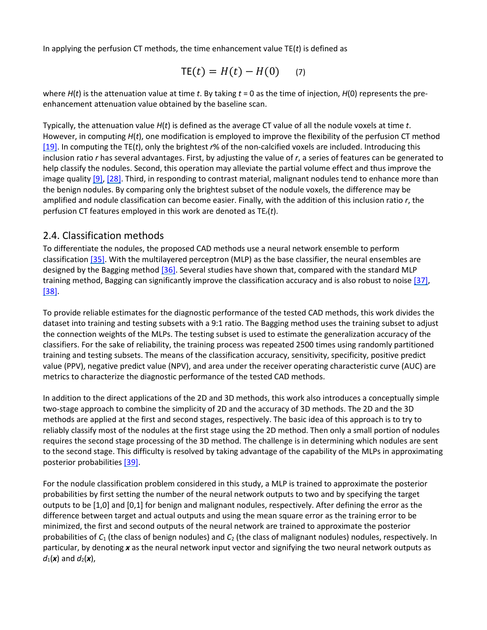In applying the perfusion CT methods, the time enhancement value TE(*t*) is defined as

$$
\mathsf{TE}(t) = H(t) - H(0) \qquad (7)
$$

where *H*(*t*) is the attenuation value at time *t*. By taking *t* = 0 as the time of injection, *H*(0) represents the preenhancement attenuation value obtained by the baseline scan.

Typically, the attenuation value *H*(*t*) is defined as the average CT value of all the nodule voxels at time *t*. However, in computing *H*(*t*), one modification is employed to improve the flexibility of the perfusion CT method [\[19\].](https://www.sciencedirect.com/science/article/pii/S0895611108000049?via%3Dihub#bib19) In computing the TE(*t*), only the brightest *r*% of the non-calcified voxels are included. Introducing this inclusion ratio *r* has several advantages. First, by adjusting the value of *r*, a series of features can be generated to help classify the nodules. Second, this operation may alleviate the partial volume effect and thus improve the image quality  $[9]$ ,  $[28]$ . Third, in responding to contrast material, malignant nodules tend to enhance more than the benign nodules. By comparing only the brightest subset of the nodule voxels, the difference may be amplified and nodule classification can become easier. Finally, with the addition of this inclusion ratio *r*, the perfusion CT features employed in this work are denoted as TE*r*(*t*).

#### 2.4. Classification methods

To differentiate the nodules, the proposed CAD methods use a neural network ensemble to perform classificatio[n \[35\].](https://www.sciencedirect.com/science/article/pii/S0895611108000049?via%3Dihub#bib35) With the multilayered perceptron (MLP) as the base classifier, the neural ensembles are designed by the Bagging method [\[36\].](https://www.sciencedirect.com/science/article/pii/S0895611108000049?via%3Dihub#bib36) Several studies have shown that, compared with the standard MLP training method, Bagging can significantly improve the classification accuracy and is also robust to noise [\[37\],](https://www.sciencedirect.com/science/article/pii/S0895611108000049?via%3Dihub#bib37) [\[38\].](https://www.sciencedirect.com/science/article/pii/S0895611108000049?via%3Dihub#bib38)

To provide reliable estimates for the diagnostic performance of the tested CAD methods, this work divides the dataset into training and testing subsets with a 9:1 ratio. The Bagging method uses the training subset to adjust the connection weights of the MLPs. The testing subset is used to estimate the generalization accuracy of the classifiers. For the sake of reliability, the training process was repeated 2500 times using randomly partitioned training and testing subsets. The means of the classification accuracy, sensitivity, specificity, positive predict value (PPV), negative predict value (NPV), and area under the receiver operating characteristic curve (AUC) are metrics to characterize the diagnostic performance of the tested CAD methods.

In addition to the direct applications of the 2D and 3D methods, this work also introduces a conceptually simple two-stage approach to combine the simplicity of 2D and the accuracy of 3D methods. The 2D and the 3D methods are applied at the first and second stages, respectively. The basic idea of this approach is to try to reliably classify most of the nodules at the first stage using the 2D method. Then only a small portion of nodules requires the second stage processing of the 3D method. The challenge is in determining which nodules are sent to the second stage. This difficulty is resolved by taking advantage of the capability of the MLPs in approximating posterior probabilities [\[39\].](https://www.sciencedirect.com/science/article/pii/S0895611108000049?via%3Dihub#bib39)

For the nodule classification problem considered in this study, a MLP is trained to approximate the posterior probabilities by first setting the number of the neural network outputs to two and by specifying the target outputs to be [1,0] and [0,1] for benign and malignant nodules, respectively. After defining the error as the difference between target and actual outputs and using the mean square error as the training error to be minimized, the first and second outputs of the neural network are trained to approximate the posterior probabilities of *C*<sup>1</sup> (the class of benign nodules) and *C*<sup>2</sup> (the class of malignant nodules) nodules, respectively. In particular, by denoting *x* as the neural network input vector and signifying the two neural network outputs as  $d_1(\mathbf{x})$  and  $d_2(\mathbf{x})$ ,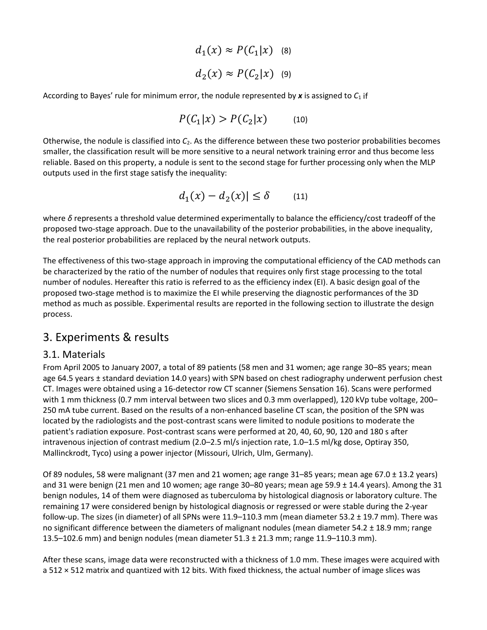$$
d_1(x) \approx P(C_1|x) \quad (8)
$$
  

$$
d_2(x) \approx P(C_2|x) \quad (9)
$$

According to Bayes' rule for minimum error, the nodule represented by *x* is assigned to *C*<sup>1</sup> if

$$
P(C_1|x) > P(C_2|x) \tag{10}
$$

Otherwise, the nodule is classified into *C*2. As the difference between these two posterior probabilities becomes smaller, the classification result will be more sensitive to a neural network training error and thus become less reliable. Based on this property, a nodule is sent to the second stage for further processing only when the MLP outputs used in the first stage satisfy the inequality:

$$
d_1(x) - d_2(x)| \le \delta \qquad (11)
$$

where *δ* represents a threshold value determined experimentally to balance the efficiency/cost tradeoff of the proposed two-stage approach. Due to the unavailability of the posterior probabilities, in the above inequality, the real posterior probabilities are replaced by the neural network outputs.

The effectiveness of this two-stage approach in improving the computational efficiency of the CAD methods can be characterized by the ratio of the number of nodules that requires only first stage processing to the total number of nodules. Hereafter this ratio is referred to as the efficiency index (EI). A basic design goal of the proposed two-stage method is to maximize the EI while preserving the diagnostic performances of the 3D method as much as possible. Experimental results are reported in the following section to illustrate the design process.

#### 3. Experiments & results

#### 3.1. Materials

From April 2005 to January 2007, a total of 89 patients (58 men and 31 women; age range 30–85 years; mean age 64.5 years ± standard deviation 14.0 years) with SPN based on chest radiography underwent perfusion chest CT. Images were obtained using a 16-detector row CT scanner (Siemens Sensation 16). Scans were performed with 1 mm thickness (0.7 mm interval between two slices and 0.3 mm overlapped), 120 kVp tube voltage, 200– 250 mA tube current. Based on the results of a non-enhanced baseline CT scan, the position of the SPN was located by the radiologists and the post-contrast scans were limited to nodule positions to moderate the patient's radiation exposure. Post-contrast scans were performed at 20, 40, 60, 90, 120 and 180 s after intravenous injection of contrast medium (2.0–2.5 ml/s injection rate, 1.0–1.5 ml/kg dose, Optiray 350, Mallinckrodt, Tyco) using a power injector (Missouri, Ulrich, Ulm, Germany).

Of 89 nodules, 58 were malignant (37 men and 21 women; age range 31–85 years; mean age 67.0 ± 13.2 years) and 31 were benign (21 men and 10 women; age range 30–80 years; mean age 59.9 ± 14.4 years). Among the 31 benign nodules, 14 of them were diagnosed as tuberculoma by histological diagnosis or laboratory culture. The remaining 17 were considered benign by histological diagnosis or regressed or were stable during the 2-year follow-up. The sizes (in diameter) of all SPNs were 11.9–110.3 mm (mean diameter 53.2 ± 19.7 mm). There was no significant difference between the diameters of malignant nodules (mean diameter  $54.2 \pm 18.9$  mm; range 13.5–102.6 mm) and benign nodules (mean diameter 51.3 ± 21.3 mm; range 11.9–110.3 mm).

After these scans, image data were reconstructed with a thickness of 1.0 mm. These images were acquired with a 512 × 512 matrix and quantized with 12 bits. With fixed thickness, the actual number of image slices was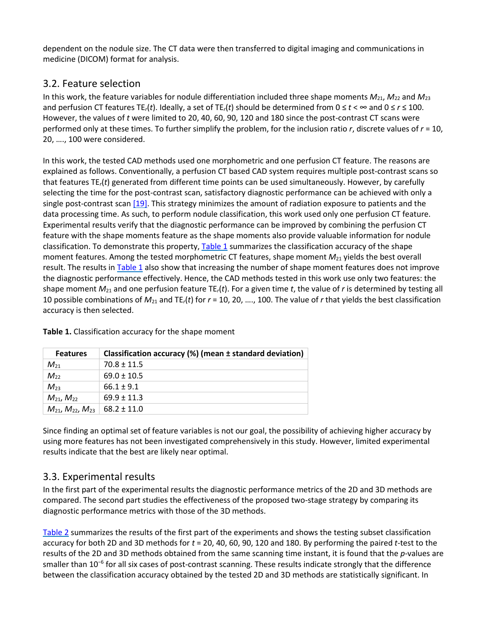dependent on the nodule size. The CT data were then transferred to digital imaging and communications in medicine (DICOM) format for analysis.

### 3.2. Feature selection

In this work, the feature variables for nodule differentiation included three shape moments *M*21, *M*<sup>22</sup> and *M*<sup>23</sup> and perfusion CT features TE<sub>r</sub>(*t*). Ideally, a set of TE<sub>r</sub>(*t*) should be determined from  $0 \le t < \infty$  and  $0 \le r \le 100$ . However, the values of *t* were limited to 20, 40, 60, 90, 120 and 180 since the post-contrast CT scans were performed only at these times. To further simplify the problem, for the inclusion ratio *r*, discrete values of *r* = 10, 20, …., 100 were considered.

In this work, the tested CAD methods used one morphometric and one perfusion CT feature. The reasons are explained as follows. Conventionally, a perfusion CT based CAD system requires multiple post-contrast scans so that features TE*r*(*t*) generated from different time points can be used simultaneously. However, by carefully selecting the time for the post-contrast scan, satisfactory diagnostic performance can be achieved with only a single post-contrast scan [\[19\].](https://www.sciencedirect.com/science/article/pii/S0895611108000049?via%3Dihub#bib19) This strategy minimizes the amount of radiation exposure to patients and the data processing time. As such, to perform nodule classification, this work used only one perfusion CT feature. Experimental results verify that the diagnostic performance can be improved by combining the perfusion CT feature with the shape moments feature as the shape moments also provide valuable information for nodule classification. To demonstrate this property[, Table 1](https://www.sciencedirect.com/science/article/pii/S0895611108000049?via%3Dihub#tbl1) summarizes the classification accuracy of the shape moment features. Among the tested morphometric CT features, shape moment *M*<sup>21</sup> yields the best overall result. The results in [Table 1](https://www.sciencedirect.com/science/article/pii/S0895611108000049?via%3Dihub#tbl1) also show that increasing the number of shape moment features does not improve the diagnostic performance effectively. Hence, the CAD methods tested in this work use only two features: the shape moment  $M_{21}$  and one perfusion feature TE<sub>r</sub>(t). For a given time t, the value of r is determined by testing all 10 possible combinations of *M*<sup>21</sup> and TE*r*(*t*) for *r* = 10, 20, …., 100. The value of *r* that yields the best classification accuracy is then selected.

| <b>Features</b>                | Classification accuracy (%) (mean ± standard deviation) |
|--------------------------------|---------------------------------------------------------|
| $M_{21}$                       | $70.8 \pm 11.5$                                         |
| $M_{22}$                       | $69.0 \pm 10.5$                                         |
| $M_{23}$                       | $66.1 + 9.1$                                            |
| $M_{21}$ , $M_{22}$            | $69.9 \pm 11.3$                                         |
| $M_{21}$ , $M_{22}$ , $M_{23}$ | $68.2 \pm 11.0$                                         |

**Table 1.** Classification accuracy for the shape moment

Since finding an optimal set of feature variables is not our goal, the possibility of achieving higher accuracy by using more features has not been investigated comprehensively in this study. However, limited experimental results indicate that the best are likely near optimal.

#### 3.3. Experimental results

In the first part of the experimental results the diagnostic performance metrics of the 2D and 3D methods are compared. The second part studies the effectiveness of the proposed two-stage strategy by comparing its diagnostic performance metrics with those of the 3D methods.

[Table 2](https://www.sciencedirect.com/science/article/pii/S0895611108000049?via%3Dihub#tbl2) summarizes the results of the first part of the experiments and shows the testing subset classification accuracy for both 2D and 3D methods for *t* = 20, 40, 60, 90, 120 and 180. By performing the paired *t*-test to the results of the 2D and 3D methods obtained from the same scanning time instant, it is found that the *p*-values are smaller than 10<sup>−</sup><sup>6</sup> for all six cases of post-contrast scanning. These results indicate strongly that the difference between the classification accuracy obtained by the tested 2D and 3D methods are statistically significant. In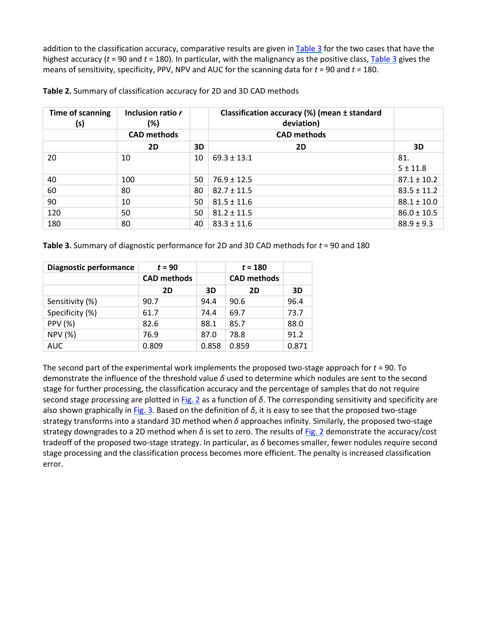addition to the classification accuracy, comparative results are given in [Table 3](https://www.sciencedirect.com/science/article/pii/S0895611108000049?via%3Dihub#tbl3) for the two cases that have the highest accuracy (*t* = 90 and *t* = 180). In particular, with the malignancy as the positive class, [Table 3](https://www.sciencedirect.com/science/article/pii/S0895611108000049?via%3Dihub#tbl3) gives the means of sensitivity, specificity, PPV, NPV and AUC for the scanning data for *t* = 90 and *t* = 180.

| Time of scanning<br>(s) | Inclusion ratio r<br>(%) |    | Classification accuracy (%) (mean ± standard<br>deviation) |                 |
|-------------------------|--------------------------|----|------------------------------------------------------------|-----------------|
|                         | <b>CAD methods</b>       |    | <b>CAD methods</b>                                         |                 |
|                         | 2D                       | 3D | 2D                                                         | 3D              |
| 20                      | 10                       | 10 | $69.3 \pm 13.1$                                            | 81.             |
|                         |                          |    |                                                            | $5 \pm 11.8$    |
| 40                      | 100                      | 50 | $76.9 \pm 12.5$                                            | $87.1 \pm 10.2$ |
| 60                      | 80                       | 80 | $82.7 \pm 11.5$                                            | $83.5 \pm 11.2$ |
| 90                      | 10                       | 50 | $81.5 \pm 11.6$                                            | $88.1 \pm 10.0$ |
| 120                     | 50                       | 50 | $81.2 \pm 11.5$                                            | $86.0 \pm 10.5$ |
| 180                     | 80                       | 40 | $83.3 \pm 11.6$                                            | $88.9 \pm 9.3$  |

| Table 2. Summary of classification accuracy for 2D and 3D CAD methods |  |  |
|-----------------------------------------------------------------------|--|--|
|-----------------------------------------------------------------------|--|--|

| Diagnostic performance | $t = 90$           |       | $t = 180$          |       |
|------------------------|--------------------|-------|--------------------|-------|
|                        | <b>CAD methods</b> |       | <b>CAD methods</b> |       |
|                        | 2D                 | 3D    | 2D                 | 3D    |
| Sensitivity (%)        | 90.7               | 94.4  | 90.6               | 96.4  |
| Specificity (%)        | 61.7               | 74.4  | 69.7               | 73.7  |
| <b>PPV (%)</b>         | 82.6               | 88.1  | 85.7               | 88.0  |
| <b>NPV (%)</b>         | 76.9               | 87.0  | 78.8               | 91.2  |
| <b>AUC</b>             | 0.809              | 0.858 | 0.859              | 0.871 |

The second part of the experimental work implements the proposed two-stage approach for *t* = 90. To demonstrate the influence of the threshold value *δ* used to determine which nodules are sent to the second stage for further processing, the classification accuracy and the percentage of samples that do not require second stage processing are plotted in [Fig. 2](https://www.sciencedirect.com/science/article/pii/S0895611108000049?via%3Dihub#fig2) as a function of *δ*. The corresponding sensitivity and specificity are also shown graphically in [Fig. 3.](https://www.sciencedirect.com/science/article/pii/S0895611108000049?via%3Dihub#fig3) Based on the definition of *δ*, it is easy to see that the proposed two-stage strategy transforms into a standard 3D method when *δ* approaches infinity. Similarly, the proposed two-stage strategy downgrades to a 2D method when *δ* is set to zero. The results o[f Fig. 2](https://www.sciencedirect.com/science/article/pii/S0895611108000049?via%3Dihub#fig2) demonstrate the accuracy/cost tradeoff of the proposed two-stage strategy. In particular, as *δ* becomes smaller, fewer nodules require second stage processing and the classification process becomes more efficient. The penalty is increased classification error.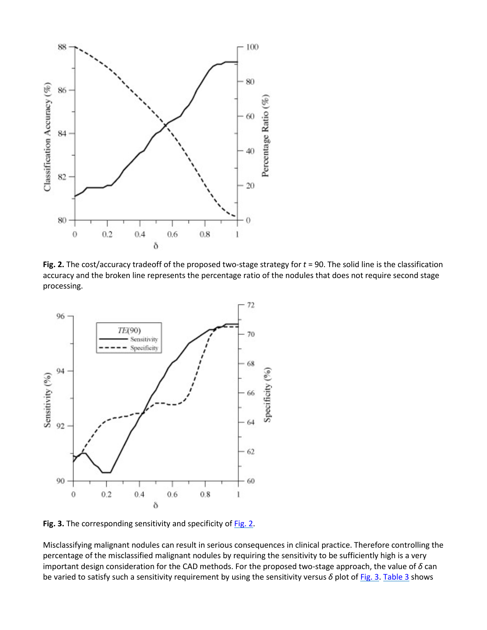

**Fig. 2.** The cost/accuracy tradeoff of the proposed two-stage strategy for *t* = 90. The solid line is the classification accuracy and the broken line represents the percentage ratio of the nodules that does not require second stage processing.



Fig. 3. The corresponding sensitivity and specificity of **Fig. 2**.

Misclassifying malignant nodules can result in serious consequences in clinical practice. Therefore controlling the percentage of the misclassified malignant nodules by requiring the sensitivity to be sufficiently high is a very important design consideration for the CAD methods. For the proposed two-stage approach, the value of *δ* can be varied to satisfy such a sensitivity requirement by using the sensitivity versus δ plot of [Fig. 3.](https://www.sciencedirect.com/science/article/pii/S0895611108000049?via%3Dihub#fig3) [Table 3](https://www.sciencedirect.com/science/article/pii/S0895611108000049?via%3Dihub#tbl3) shows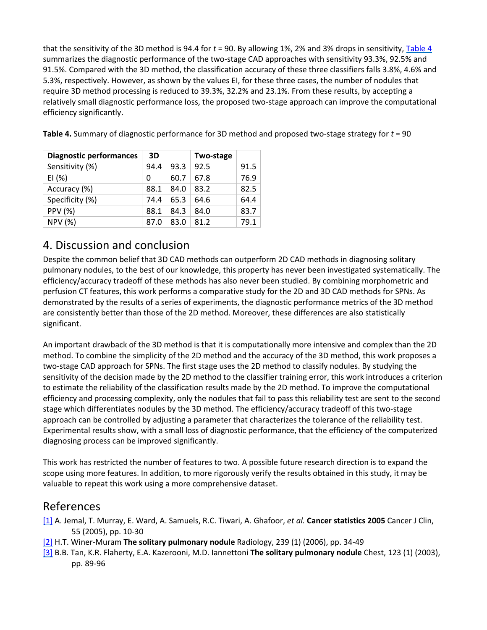that the sensitivity of the 3D method is 94.4 for *t* = 90. By allowing 1%, 2% and 3% drops in sensitivity[, Table 4](https://www.sciencedirect.com/science/article/pii/S0895611108000049?via%3Dihub#tbl4) summarizes the diagnostic performance of the two-stage CAD approaches with sensitivity 93.3%, 92.5% and 91.5%. Compared with the 3D method, the classification accuracy of these three classifiers falls 3.8%, 4.6% and 5.3%, respectively. However, as shown by the values EI, for these three cases, the number of nodules that require 3D method processing is reduced to 39.3%, 32.2% and 23.1%. From these results, by accepting a relatively small diagnostic performance loss, the proposed two-stage approach can improve the computational efficiency significantly.

| <b>Diagnostic performances</b> | 3D   |      | Two-stage |      |
|--------------------------------|------|------|-----------|------|
| Sensitivity (%)                | 94.4 | 93.3 | 92.5      | 91.5 |
| EI $(% )$                      | Ω    | 60.7 | 67.8      | 76.9 |
| Accuracy (%)                   | 88.1 | 84.0 | 83.2      | 82.5 |
| Specificity (%)                | 74.4 | 65.3 | 64.6      | 64.4 |
| <b>PPV (%)</b>                 | 88.1 | 84.3 | 84.0      | 83.7 |
| <b>NPV (%)</b>                 | 87.0 | 83.0 | 81.2      | 79.1 |

**Table 4.** Summary of diagnostic performance for 3D method and proposed two-stage strategy for *t* = 90

## 4. Discussion and conclusion

Despite the common belief that 3D CAD methods can outperform 2D CAD methods in diagnosing solitary pulmonary nodules, to the best of our knowledge, this property has never been investigated systematically. The efficiency/accuracy tradeoff of these methods has also never been studied. By combining morphometric and perfusion CT features, this work performs a comparative study for the 2D and 3D CAD methods for SPNs. As demonstrated by the results of a series of experiments, the diagnostic performance metrics of the 3D method are consistently better than those of the 2D method. Moreover, these differences are also statistically significant.

An important drawback of the 3D method is that it is computationally more intensive and complex than the 2D method. To combine the simplicity of the 2D method and the accuracy of the 3D method, this work proposes a two-stage CAD approach for SPNs. The first stage uses the 2D method to classify nodules. By studying the sensitivity of the decision made by the 2D method to the classifier training error, this work introduces a criterion to estimate the reliability of the classification results made by the 2D method. To improve the computational efficiency and processing complexity, only the nodules that fail to pass this reliability test are sent to the second stage which differentiates nodules by the 3D method. The efficiency/accuracy tradeoff of this two-stage approach can be controlled by adjusting a parameter that characterizes the tolerance of the reliability test. Experimental results show, with a small loss of diagnostic performance, that the efficiency of the computerized diagnosing process can be improved significantly.

This work has restricted the number of features to two. A possible future research direction is to expand the scope using more features. In addition, to more rigorously verify the results obtained in this study, it may be valuable to repeat this work using a more comprehensive dataset.

## References

- [\[1\]](https://www.sciencedirect.com/science/article/pii/S0895611108000049?via%3Dihub#bbib1) A. Jemal, T. Murray, E. Ward, A. Samuels, R.C. Tiwari, A. Ghafoor, *et al.* **Cancer statistics 2005** Cancer J Clin, 55 (2005), pp. 10-30
- [\[2\]](https://www.sciencedirect.com/science/article/pii/S0895611108000049?via%3Dihub#bbib2) H.T. Winer-Muram **The solitary pulmonary nodule** Radiology, 239 (1) (2006), pp. 34-49
- [\[3\]](https://www.sciencedirect.com/science/article/pii/S0895611108000049?via%3Dihub#bbib3) B.B. Tan, K.R. Flaherty, E.A. Kazerooni, M.D. Iannettoni **The solitary pulmonary nodule** Chest, 123 (1) (2003), pp. 89-96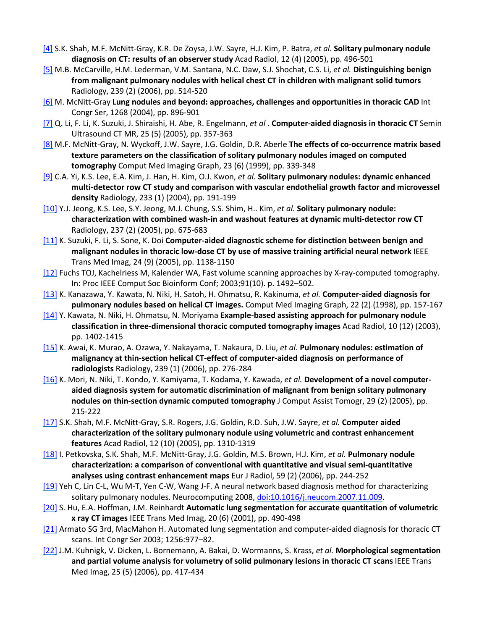- [\[4\]](https://www.sciencedirect.com/science/article/pii/S0895611108000049?via%3Dihub#bbib4) S.K. Shah, M.F. McNitt-Gray, K.R. De Zoysa, J.W. Sayre, H.J. Kim, P. Batra, *et al.* **Solitary pulmonary nodule diagnosis on CT: results of an observer study** Acad Radiol, 12 (4) (2005), pp. 496-501
- [\[5\]](https://www.sciencedirect.com/science/article/pii/S0895611108000049?via%3Dihub#bbib5) M.B. McCarville, H.M. Lederman, V.M. Santana, N.C. Daw, S.J. Shochat, C.S. Li, *et al.* **Distinguishing benign from malignant pulmonary nodules with helical chest CT in children with malignant solid tumors** Radiology, 239 (2) (2006), pp. 514-520
- [\[6\]](https://www.sciencedirect.com/science/article/pii/S0895611108000049?via%3Dihub#bbib6) M. McNitt-Gray **Lung nodules and beyond: approaches, challenges and opportunities in thoracic CAD** Int Congr Ser, 1268 (2004), pp. 896-901
- [\[7\]](https://www.sciencedirect.com/science/article/pii/S0895611108000049?via%3Dihub#bbib7) Q. Li, F. Li, K. Suzuki, J. Shiraishi, H. Abe, R. Engelmann, *et al .* **Computer-aided diagnosis in thoracic CT** Semin Ultrasound CT MR, 25 (5) (2005), pp. 357-363
- [\[8\]](https://www.sciencedirect.com/science/article/pii/S0895611108000049?via%3Dihub#bbib8) M.F. McNitt-Gray, N. Wyckoff, J.W. Sayre, J.G. Goldin, D.R. Aberle **The effects of co-occurrence matrix based texture parameters on the classification of solitary pulmonary nodules imaged on computed tomography** Comput Med Imaging Graph, 23 (6) (1999), pp. 339-348
- [\[9\]](https://www.sciencedirect.com/science/article/pii/S0895611108000049?via%3Dihub#bbib9) C.A. Yi, K.S. Lee, E.A. Kim, J. Han, H. Kim, O.J. Kwon, *et al.* **Solitary pulmonary nodules: dynamic enhanced multi-detector row CT study and comparison with vascular endothelial growth factor and microvessel density** Radiology, 233 (1) (2004), pp. 191-199
- [\[10\]](https://www.sciencedirect.com/science/article/pii/S0895611108000049?via%3Dihub#bbib10) Y.J. Jeong, K.S. Lee, S.Y. Jeong, M.J. Chung, S.S. Shim, H.. Kim, *et al.* **Solitary pulmonary nodule: characterization with combined wash-in and washout features at dynamic multi-detector row CT** Radiology, 237 (2) (2005), pp. 675-683
- [\[11\]](https://www.sciencedirect.com/science/article/pii/S0895611108000049?via%3Dihub#bbib11) K. Suzuki, F. Li, S. Sone, K. Doi **Computer-aided diagnostic scheme for distinction between benign and malignant nodules in thoracic low-dose CT by use of massive training artificial neural network** IEEE Trans Med Imag, 24 (9) (2005), pp. 1138-1150
- [\[12\]](https://www.sciencedirect.com/science/article/pii/S0895611108000049?via%3Dihub#bbib12) Fuchs TOJ, Kachelriess M, Kalender WA, Fast volume scanning approaches by X-ray-computed tomography. In: Proc IEEE Comput Soc Bioinform Conf; 2003;91(10). p. 1492–502.
- [\[13\]](https://www.sciencedirect.com/science/article/pii/S0895611108000049?via%3Dihub#bbib13) K. Kanazawa, Y. Kawata, N. Niki, H. Satoh, H. Ohmatsu, R. Kakinuma, *et al.* **Computer-aided diagnosis for pulmonary nodules based on helical CT images.** Comput Med Imaging Graph, 22 (2) (1998), pp. 157-167
- [\[14\]](https://www.sciencedirect.com/science/article/pii/S0895611108000049?via%3Dihub#bbib14) Y. Kawata, N. Niki, H. Ohmatsu, N. Moriyama **Example-based assisting approach for pulmonary nodule classification in three-dimensional thoracic computed tomography images** Acad Radiol, 10 (12) (2003), pp. 1402-1415
- [\[15\]](https://www.sciencedirect.com/science/article/pii/S0895611108000049?via%3Dihub#bbib15) K. Awai, K. Murao, A. Ozawa, Y. Nakayama, T. Nakaura, D. Liu, *et al.* **Pulmonary nodules: estimation of malignancy at thin-section helical CT-effect of computer-aided diagnosis on performance of radiologists** Radiology, 239 (1) (2006), pp. 276-284
- [\[16\]](https://www.sciencedirect.com/science/article/pii/S0895611108000049?via%3Dihub#bbib16) K. Mori, N. Niki, T. Kondo, Y. Kamiyama, T. Kodama, Y. Kawada, *et al.* **Development of a novel computeraided diagnosis system for automatic discrimination of malignant from benign solitary pulmonary nodules on thin-section dynamic computed tomography** J Comput Assist Tomogr, 29 (2) (2005), pp. 215-222
- [\[17\]](https://www.sciencedirect.com/science/article/pii/S0895611108000049?via%3Dihub#bbib17) S.K. Shah, M.F. McNitt-Gray, S.R. Rogers, J.G. Goldin, R.D. Suh, J.W. Sayre, *et al.* **Computer aided characterization of the solitary pulmonary nodule using volumetric and contrast enhancement features** Acad Radiol, 12 (10) (2005), pp. 1310-1319
- [\[18\]](https://www.sciencedirect.com/science/article/pii/S0895611108000049?via%3Dihub#bbib18) I. Petkovska, S.K. Shah, M.F. McNitt-Gray, J.G. Goldin, M.S. Brown, H.J. Kim, *et al.* **Pulmonary nodule characterization: a comparison of conventional with quantitative and visual semi-quantitative analyses using contrast enhancement maps** Eur J Radiol, 59 (2) (2006), pp. 244-252
- [\[19\]](https://www.sciencedirect.com/science/article/pii/S0895611108000049?via%3Dihub#bbib19) Yeh C, Lin C-L, Wu M-T, Yen C-W, Wang J-F. A neural network based diagnosis method for characterizing solitary pulmonary nodules. Neurocomputing 2008, [doi:10.1016/j.neucom.2007.11.009.](https://doi.org/10.1016/j.neucom.2007.11.009)
- [\[20\]](https://www.sciencedirect.com/science/article/pii/S0895611108000049?via%3Dihub#bbib20) S. Hu, E.A. Hoffman, J.M. Reinhardt **Automatic lung segmentation for accurate quantitation of volumetric x ray CT images** IEEE Trans Med Imag, 20 (6) (2001), pp. 490-498
- [\[21\]](https://www.sciencedirect.com/science/article/pii/S0895611108000049?via%3Dihub#bbib21) Armato SG 3rd, MacMahon H. Automated lung segmentation and computer-aided diagnosis for thoracic CT scans. Int Congr Ser 2003; 1256:977–82.
- [\[22\]](https://www.sciencedirect.com/science/article/pii/S0895611108000049?via%3Dihub#bbib22) J.M. Kuhnigk, V. Dicken, L. Bornemann, A. Bakai, D. Wormanns, S. Krass, *et al.* **Morphological segmentation and partial volume analysis for volumetry of solid pulmonary lesions in thoracic CT scans** IEEE Trans Med Imag, 25 (5) (2006), pp. 417-434